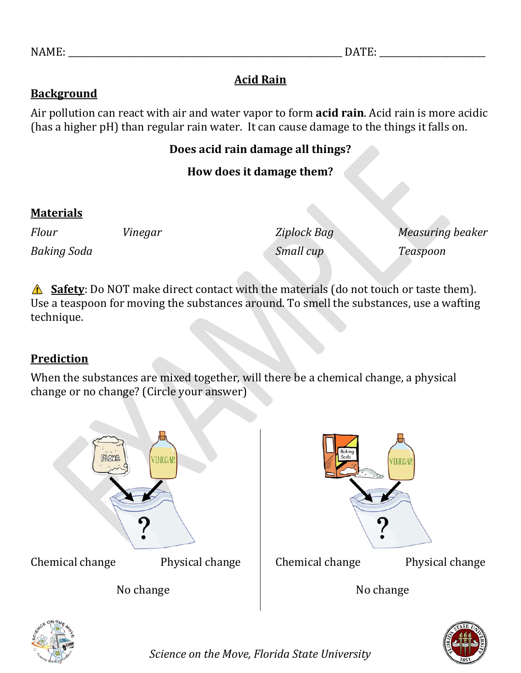# **Acid Rain**

### **Background**

Air pollution can react with air and water vapor to form **acid rain**. Acid rain is more acidic (has a higher pH) than regular rain water. It can cause damage to the things it falls on.

### **Does acid rain damage all things?**

## **How does it damage them?**

### **Materials**

| Flour              | Vinegar | Ziplock Bag | Measuring beaker |
|--------------------|---------|-------------|------------------|
| <b>Baking Soda</b> |         | Small cup   | Teaspoon         |

**Safety**: Do NOT make direct contact with the materials (do not touch or taste them). Use a teaspoon for moving the substances around. To smell the substances, use a wafting technique.

## **Prediction**

When the substances are mixed together, will there be a chemical change, a physical change or no change? (Circle your answer)







*Science on the Move, Florida State University*